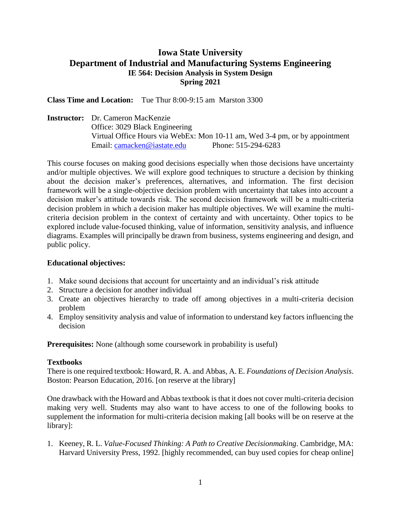## **Iowa State University Department of Industrial and Manufacturing Systems Engineering IE 564: Decision Analysis in System Design Spring 2021**

**Class Time and Location:** Tue Thur 8:00-9:15 am Marston 3300

**Instructor:** Dr. Cameron MacKenzie Office: 3029 Black Engineering Virtual Office Hours via WebEx: Mon 10-11 am, Wed 3-4 pm, or by appointment Email: [camacken@iastate.edu](mailto:camacken@iastate.edu) Phone: 515-294-6283

This course focuses on making good decisions especially when those decisions have uncertainty and/or multiple objectives. We will explore good techniques to structure a decision by thinking about the decision maker's preferences, alternatives, and information. The first decision framework will be a single-objective decision problem with uncertainty that takes into account a decision maker's attitude towards risk. The second decision framework will be a multi-criteria decision problem in which a decision maker has multiple objectives. We will examine the multicriteria decision problem in the context of certainty and with uncertainty. Other topics to be explored include value-focused thinking, value of information, sensitivity analysis, and influence diagrams. Examples will principally be drawn from business, systems engineering and design, and public policy.

## **Educational objectives:**

- 1. Make sound decisions that account for uncertainty and an individual's risk attitude
- 2. Structure a decision for another individual
- 3. Create an objectives hierarchy to trade off among objectives in a multi-criteria decision problem
- 4. Employ sensitivity analysis and value of information to understand key factors influencing the decision

**Prerequisites:** None (although some coursework in probability is useful)

## **Textbooks**

There is one required textbook: Howard, R. A. and Abbas, A. E. *Foundations of Decision Analysis*. Boston: Pearson Education, 2016. [on reserve at the library]

One drawback with the Howard and Abbas textbook is that it does not cover multi-criteria decision making very well. Students may also want to have access to one of the following books to supplement the information for multi-criteria decision making [all books will be on reserve at the library]:

1. Keeney, R. L. *Value-Focused Thinking: A Path to Creative Decisionmaking*. Cambridge, MA: Harvard University Press, 1992. [highly recommended, can buy used copies for cheap online]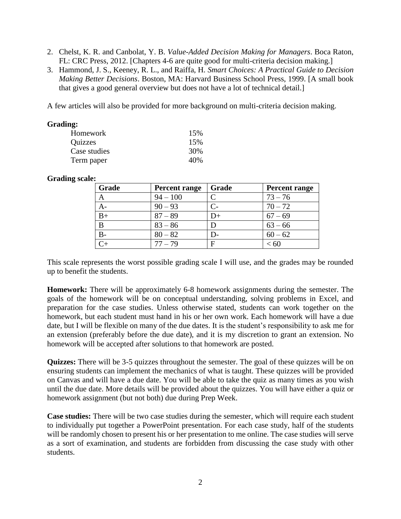- 2. Chelst, K. R. and Canbolat, Y. B. *Value-Added Decision Making for Managers*. Boca Raton, FL: CRC Press, 2012. [Chapters 4-6 are quite good for multi-criteria decision making.]
- 3. Hammond, J. S., Keeney, R. L., and Raiffa, H. *Smart Choices: A Practical Guide to Decision Making Better Decisions*. Boston, MA: Harvard Business School Press, 1999. [A small book that gives a good general overview but does not have a lot of technical detail.]

A few articles will also be provided for more background on multi-criteria decision making.

| Grading:       |     |
|----------------|-----|
| Homework       | 15% |
| <b>Quizzes</b> | 15% |
| Case studies   | 30% |
| Term paper     | 40% |

## **Grading scale:**

| Grade | <b>Percent range</b> | Grade | Percent range |
|-------|----------------------|-------|---------------|
| А     | $94 - 100$           |       | $73 - 76$     |
| A-    | $90 - 93$            | C-    | $70 - 72$     |
| $B+$  | $87 - 89$            | D+    | $67 - 69$     |
| B     | $83 - 86$            |       | $63 - 66$     |
| $B -$ | $80 - 82$            | D-    | $60 - 62$     |
|       | $77 - 79$            | F     | < 60          |

This scale represents the worst possible grading scale I will use, and the grades may be rounded up to benefit the students.

**Homework:** There will be approximately 6-8 homework assignments during the semester. The goals of the homework will be on conceptual understanding, solving problems in Excel, and preparation for the case studies. Unless otherwise stated, students can work together on the homework, but each student must hand in his or her own work. Each homework will have a due date, but I will be flexible on many of the due dates. It is the student's responsibility to ask me for an extension (preferably before the due date), and it is my discretion to grant an extension. No homework will be accepted after solutions to that homework are posted.

**Quizzes:** There will be 3-5 quizzes throughout the semester. The goal of these quizzes will be on ensuring students can implement the mechanics of what is taught. These quizzes will be provided on Canvas and will have a due date. You will be able to take the quiz as many times as you wish until the due date. More details will be provided about the quizzes. You will have either a quiz or homework assignment (but not both) due during Prep Week.

**Case studies:** There will be two case studies during the semester, which will require each student to individually put together a PowerPoint presentation. For each case study, half of the students will be randomly chosen to present his or her presentation to me online. The case studies will serve as a sort of examination, and students are forbidden from discussing the case study with other students.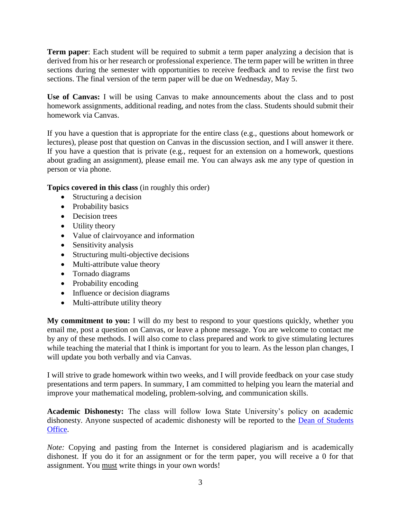**Term paper**: Each student will be required to submit a term paper analyzing a decision that is derived from his or her research or professional experience. The term paper will be written in three sections during the semester with opportunities to receive feedback and to revise the first two sections. The final version of the term paper will be due on Wednesday, May 5.

**Use of Canvas:** I will be using Canvas to make announcements about the class and to post homework assignments, additional reading, and notes from the class. Students should submit their homework via Canvas.

If you have a question that is appropriate for the entire class (e.g., questions about homework or lectures), please post that question on Canvas in the discussion section, and I will answer it there. If you have a question that is private (e.g., request for an extension on a homework, questions about grading an assignment), please email me. You can always ask me any type of question in person or via phone.

**Topics covered in this class** (in roughly this order)

- Structuring a decision
- Probability basics
- Decision trees
- Utility theory
- Value of clairvoyance and information
- Sensitivity analysis
- Structuring multi-objective decisions
- Multi-attribute value theory
- Tornado diagrams
- Probability encoding
- Influence or decision diagrams
- Multi-attribute utility theory

**My commitment to you:** I will do my best to respond to your questions quickly, whether you email me, post a question on Canvas, or leave a phone message. You are welcome to contact me by any of these methods. I will also come to class prepared and work to give stimulating lectures while teaching the material that I think is important for you to learn. As the lesson plan changes, I will update you both verbally and via Canvas.

I will strive to grade homework within two weeks, and I will provide feedback on your case study presentations and term papers. In summary, I am committed to helping you learn the material and improve your mathematical modeling, problem-solving, and communication skills.

**Academic Dishonesty:** The class will follow Iowa State University's policy on academic dishonesty. Anyone suspected of academic dishonesty will be reported to the [Dean of Students](http://www.dso.iastate.edu/ja/academic/misconduct.html)  [Office.](http://www.dso.iastate.edu/ja/academic/misconduct.html)

*Note:* Copying and pasting from the Internet is considered plagiarism and is academically dishonest. If you do it for an assignment or for the term paper, you will receive a 0 for that assignment. You must write things in your own words!